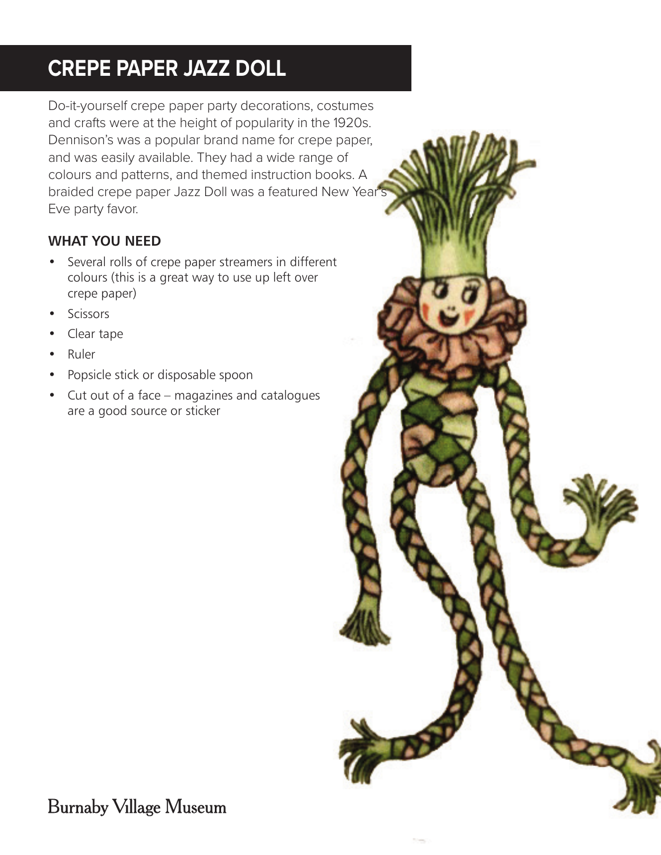## **CREPE PAPER JAZZ DOLL**

Do-it-yourself crepe paper party decorations, costumes and crafts were at the height of popularity in the 1920s. Dennison's was a popular brand name for crepe paper, and was easily available. They had a wide range of colours and patterns, and themed instruction books. A braided crepe paper Jazz Doll was a featured New Year<sup>1</sup> Eve party favor.

## **WHAT YOU NEED**

- Several rolls of crepe paper streamers in different colours (this is a great way to use up left over crepe paper)
- **Scissors**
- Clear tape
- Ruler
- Popsicle stick or disposable spoon
- Cut out of a face magazines and catalogues are a good source or sticker



**Burnaby Village Museum**